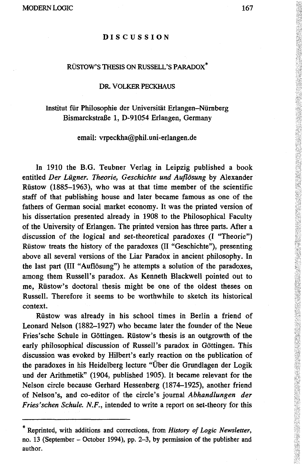#### **DISCUSSION**

## RÜSTOW'S THESIS ON RUSSELL'S PARADOX\*

#### DR. VOLKER PECKHAUS

# Institut für Philosophie der Universität Erlangen—Nürnberg Bismarckstraße 1, D-91054 Erlangen, Germany

### email: vrpeckha@phil.uni-erlangen.de

In 1910 the B.G. Teubner Verlag in Leipzig published a book entitled *Der Lügner. Theorie, Geschichte und Auflösung* by Alexander Rüstow (1885-1963), who was at that time member of the scientific staff of that publishing house and later became famous as one of the fathers of German social market economy. It was the printed version of his dissertation presented already in 1908 to the Philosophical Faculty of the University of Erlangen. The printed version has three parts. After a discussion of the logical and set-theoretical paradoxes (I "Theorie") Rüstow treats the history of the paradoxes (II "Geschichte"), presenting above all several versions of the Liar Paradox in ancient philosophy. In the last part (III "Auflösung") he attempts a solution of the paradoxes, among them Russell's paradox. As Kenneth Blackwell pointed out to me, Rüstow's doctoral thesis might be one of the oldest theses on Russell. Therefore it seems to be worthwhile to sketch its historical context.

Rüstow was already in his school times in Berlin a friend of Leonard Nelson (1882-1927) who became later the founder of the Neue Fries'sche Schule in Göttingen. Rüstow's thesis is an outgrowth of the early philosophical discussion of Russell's paradox in Göttingen. This discussion was evoked by Hubert's early reaction on the publication of the paradoxes in his Heidelberg lecture "Über die Grundlagen der Logik und der Arithmetik" (1904, published 1905). It became relevant for the Nelson circle because Gerhard Hessenberg (1874-1925), another friend of Nelson's, and co-editor of the circle's journal *Abhandlungen der Fries'sehen Schule. N.F.,* intended to write a report on set-theory for this

<sup>\*</sup> Reprinted, with additions and corrections, from *History of Logic Newsletter,* no. 13 (September - October 1994), pp. 2-3, by permission of the publisher and author.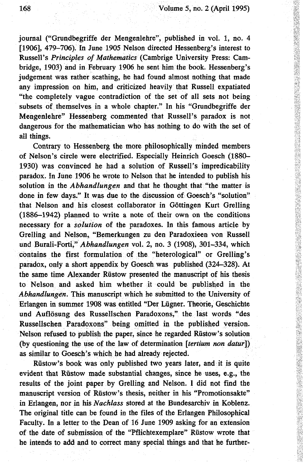journal ("Grundbegriffe der Mengenlehre", published in vol. 1, no. 4 [1906], 479-706). In June 1905 Nelson directed Hessenberg's interest to Russell's *Principles of Mathematics* (Cambrige University Press: Cambridge, 1903) and in February 1906 he sent him the book. Hessenberg's judgement was rather scathing, he had found almost nothing that made any impression on him, and criticized heavily that Russell expatiated "the completely vague contradiction of the set of all sets not being subsets of themselves in a whole chapter." In his "Grundbegriffe der Mengenlehre" Hessenberg commented that Russell's paradox is not dangerous for the mathematician who has nothing to do with the set of all things.

Contrary to Hessenberg the more philosophically minded members of Nelson's circle were electrified. Especially Heinrich Goesch (1880- 1930) was convinced he had a solution of Russell's impredicability paradox. In June 1906 he wrote to Nelson that he intended to publish his solution in the *Abhandlungen* and that he thought that "the matter is done in few days." It was due to the discussion of Goesch's "solution" that Nelson and his closest collaborator in Göttingen Kurt Grelling (1886-1942) planned to write a note of their own on the conditions necessary for a *solution* of the paradoxes. In this famous article by Grelling and Nelson, "Bemerkungen zu den Paradoxieen von Russell und Burali-Forti," *Abhandlungen* vol. 2, no. 3 (1908), 301-334, which contains the first formulation of the "heterological" or Grelling's paradox, only a short appendix by Goesch was published (324-328). At the same time Alexander Rüstow presented the manuscript of his thesis to Nelson and asked him whether it could be published in the *Abhandlungen.* This manuscript which he submitted to the University of Erlangen in summer 1908 was entitled "Der Lügner. Theorie, Geschichte und Auflösung des Russellschen Paradoxons," the last words "des Russellschen Paradoxons" being omitted in the published version. Nelson refused to publish the paper, since he regarded Rüstow's solution (by questioning the use of the law of determination *[tertium non datur])* as similar to Goesch's which he had already rejected.

Rüstow's book was only published two years later, and it is quite evident that Rüstow made substantial changes, since he uses, e.g., the results of the joint paper by Grelling and Nelson. I did not find the manuscript version of Rüstow's thesis, neither in his "Promotionsakte" in Erlangen, nor in his *Nachlass* stored at the Bundesarchiv in Koblenz. The original title can be found in the files of the Erlangen Philosophical Faculty. In a letter to the Dean of 16 June 1909 asking for an extension of the date of submission of the "Pflichtexemplare" Rüstow wrote that he intends to add and to correct many special things and that he further